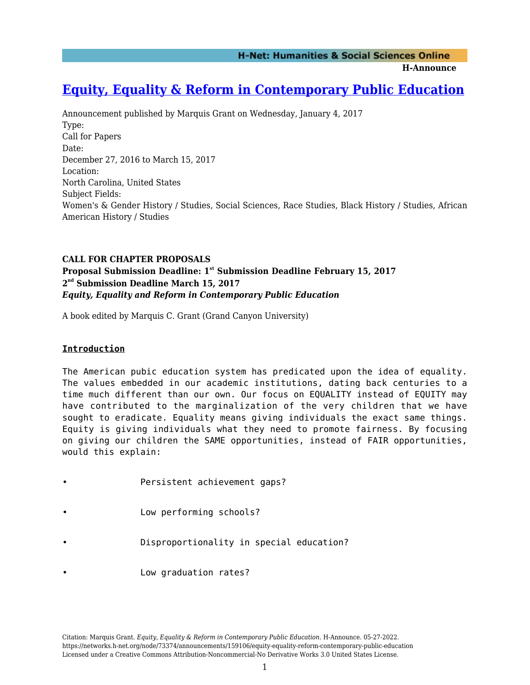**H-Announce** 

# **[Equity, Equality & Reform in Contemporary Public Education](https://networks.h-net.org/node/73374/announcements/159106/equity-equality-reform-contemporary-public-education)**

Announcement published by Marquis Grant on Wednesday, January 4, 2017 Type: Call for Papers Date: December 27, 2016 to March 15, 2017 Location: North Carolina, United States Subject Fields: Women's & Gender History / Studies, Social Sciences, Race Studies, Black History / Studies, African American History / Studies

# **CALL FOR CHAPTER PROPOSALS Proposal Submission Deadline: 1st Submission Deadline February 15, 2017 2 nd Submission Deadline March 15, 2017** *Equity, Equality and Reform in Contemporary Public Education*

A book edited by Marquis C. Grant (Grand Canyon University)

# **Introduction**

The American pubic education system has predicated upon the idea of equality. The values embedded in our academic institutions, dating back centuries to a time much different than our own. Our focus on EQUALITY instead of EQUITY may have contributed to the marginalization of the very children that we have sought to eradicate. Equality means giving individuals the exact same things. Equity is giving individuals what they need to promote fairness. By focusing on giving our children the SAME opportunities, instead of FAIR opportunities, would this explain:

- Persistent achievement gaps?
- Low performing schools?
- Disproportionality in special education?
- Low graduation rates?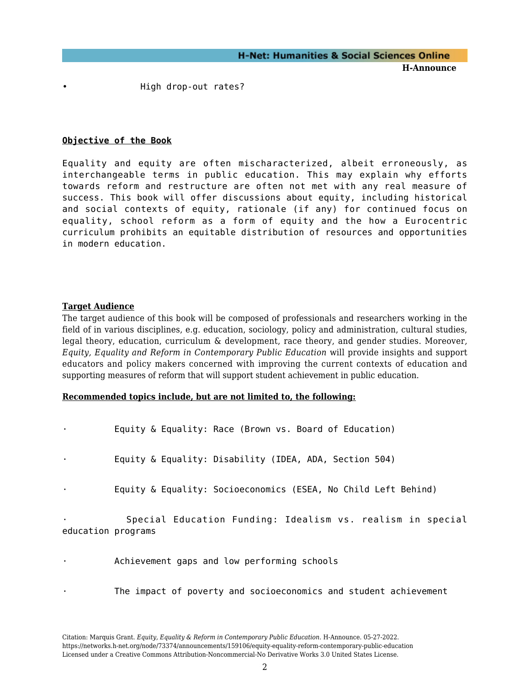• High drop-out rates?

### **Objective of the Book**

Equality and equity are often mischaracterized, albeit erroneously, as interchangeable terms in public education. This may explain why efforts towards reform and restructure are often not met with any real measure of success. This book will offer discussions about equity, including historical and social contexts of equity, rationale (if any) for continued focus on equality, school reform as a form of equity and the how a Eurocentric curriculum prohibits an equitable distribution of resources and opportunities in modern education.

#### **Target Audience**

The target audience of this book will be composed of professionals and researchers working in the field of in various disciplines, e.g. education, sociology, policy and administration, cultural studies, legal theory, education, curriculum & development, race theory, and gender studies. Moreover*, Equity, Equality and Reform in Contemporary Public Education* will provide insights and support educators and policy makers concerned with improving the current contexts of education and supporting measures of reform that will support student achievement in public education.

#### **Recommended topics include, but are not limited to, the following:**

Equity & Equality: Race (Brown vs. Board of Education)

Equity & Equality: Disability (IDEA, ADA, Section 504)

Equity & Equality: Socioeconomics (ESEA, No Child Left Behind)

Special Education Funding: Idealism vs. realism in special education programs

- Achievement gaps and low performing schools
	- The impact of poverty and socioeconomics and student achievement

Citation: Marquis Grant. *Equity, Equality & Reform in Contemporary Public Education*. H-Announce. 05-27-2022. https://networks.h-net.org/node/73374/announcements/159106/equity-equality-reform-contemporary-public-education Licensed under a Creative Commons Attribution-Noncommercial-No Derivative Works 3.0 United States License.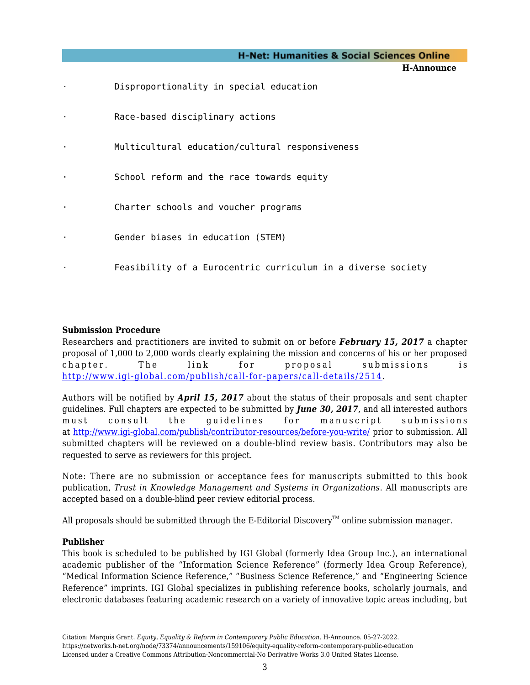|           | <b>H-Net: Humanities &amp; Social Sciences Online</b>        |
|-----------|--------------------------------------------------------------|
|           | H-Announce                                                   |
| ٠         | Disproportionality in special education                      |
| $\bullet$ | Race-based disciplinary actions                              |
| $\bullet$ | Multicultural education/cultural responsiveness              |
| ٠         | School reform and the race towards equity                    |
| ٠         | Charter schools and voucher programs                         |
| ٠         | Gender biases in education (STEM)                            |
| ٠         | Feasibility of a Eurocentric curriculum in a diverse society |

## **Submission Procedure**

Researchers and practitioners are invited to submit on or before *February 15, 2017* a chapter proposal of 1,000 to 2,000 words clearly explaining the mission and concerns of his or her proposed chapter. The link for proposal submissions is [http://www.igi-global.com/publish/call-for-papers/call-details/2514.](http://www.igi-global.com/publish/call-for-papers/call-details/2514)

Authors will be notified by *April 15, 2017* about the status of their proposals and sent chapter guidelines. Full chapters are expected to be submitted by *June 30, 2017*, and all interested authors must consult the guidelines for manuscript submissions at <http://www.igi-global.com/publish/contributor-resources/before-you-write/> prior to submission. All submitted chapters will be reviewed on a double-blind review basis. Contributors may also be requested to serve as reviewers for this project.

Note: There are no submission or acceptance fees for manuscripts submitted to this book publication, *Trust in Knowledge Management and Systems in Organizations*. All manuscripts are accepted based on a double-blind peer review editorial process.

All proposals should be submitted through the E-Editorial Discovery<sup> $m$ </sup> online submission manager.

### **Publisher**

This book is scheduled to be published by IGI Global (formerly Idea Group Inc.), an international academic publisher of the "Information Science Reference" (formerly Idea Group Reference), "Medical Information Science Reference," "Business Science Reference," and "Engineering Science Reference" imprints. IGI Global specializes in publishing reference books, scholarly journals, and electronic databases featuring academic research on a variety of innovative topic areas including, but